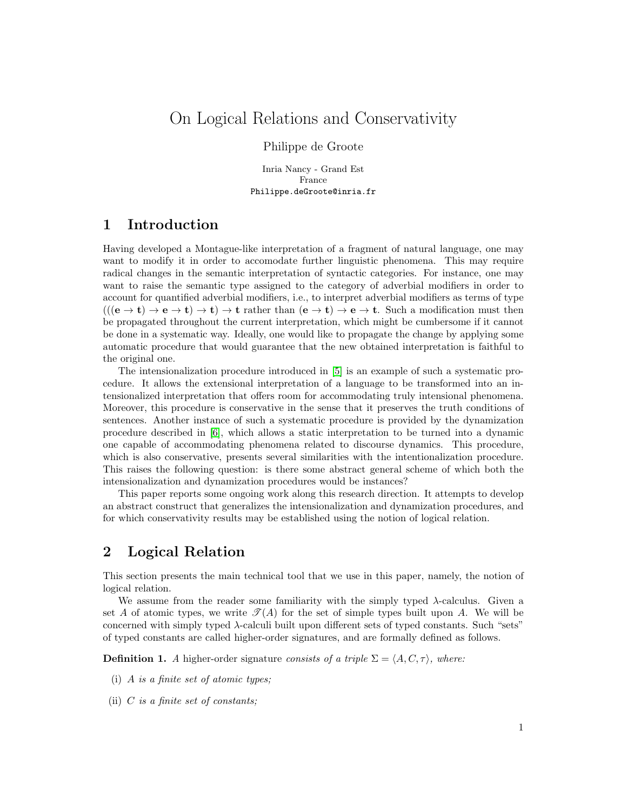# On Logical Relations and Conservativity

#### Philippe de Groote

Inria Nancy - Grand Est France Philippe.deGroote@inria.fr

## 1 Introduction

Having developed a Montague-like interpretation of a fragment of natural language, one may want to modify it in order to accomodate further linguistic phenomena. This may require radical changes in the semantic interpretation of syntactic categories. For instance, one may want to raise the semantic type assigned to the category of adverbial modifiers in order to account for quantified adverbial modifiers, i.e., to interpret adverbial modifiers as terms of type  $(((e \rightarrow t) \rightarrow e \rightarrow t) \rightarrow t) \rightarrow t$  rather than  $(e \rightarrow t) \rightarrow e \rightarrow t$ . Such a modification must then be propagated throughout the current interpretation, which might be cumbersome if it cannot be done in a systematic way. Ideally, one would like to propagate the change by applying some automatic procedure that would guarantee that the new obtained interpretation is faithful to the original one.

The intensionalization procedure introduced in [\[5\]](#page-9-0) is an example of such a systematic procedure. It allows the extensional interpretation of a language to be transformed into an intensionalized interpretation that offers room for accommodating truly intensional phenomena. Moreover, this procedure is conservative in the sense that it preserves the truth conditions of sentences. Another instance of such a systematic procedure is provided by the dynamization procedure described in [\[6\]](#page-9-1), which allows a static interpretation to be turned into a dynamic one capable of accommodating phenomena related to discourse dynamics. This procedure, which is also conservative, presents several similarities with the intentionalization procedure. This raises the following question: is there some abstract general scheme of which both the intensionalization and dynamization procedures would be instances?

This paper reports some ongoing work along this research direction. It attempts to develop an abstract construct that generalizes the intensionalization and dynamization procedures, and for which conservativity results may be established using the notion of logical relation.

## 2 Logical Relation

This section presents the main technical tool that we use in this paper, namely, the notion of logical relation.

We assume from the reader some familiarity with the simply typed  $\lambda$ -calculus. Given a set A of atomic types, we write  $\mathcal{T}(A)$  for the set of simple types built upon A. We will be concerned with simply typed  $\lambda$ -calculi built upon different sets of typed constants. Such "sets" of typed constants are called higher-order signatures, and are formally defined as follows.

**Definition 1.** A higher-order signature consists of a triple  $\Sigma = \langle A, C, \tau \rangle$ , where:

- (i) A is a finite set of atomic types;
- (ii)  $C$  is a finite set of constants;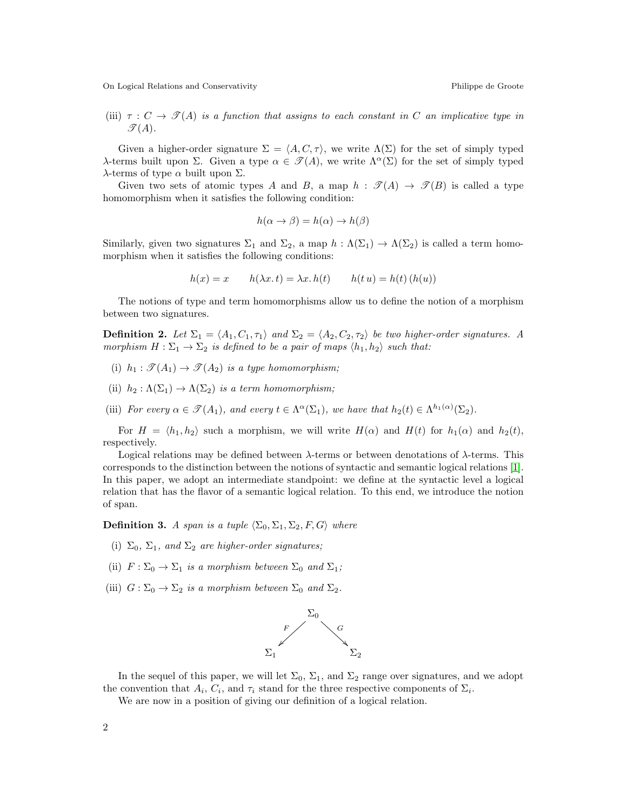(iii)  $\tau : C \to \mathcal{T}(A)$  is a function that assigns to each constant in C an implicative type in  $\mathcal{T}(A)$ .

Given a higher-order signature  $\Sigma = \langle A, C, \tau \rangle$ , we write  $\Lambda(\Sigma)$  for the set of simply typed λ-terms built upon Σ. Given a type  $\alpha \in \mathcal{T}(A)$ , we write  $\Lambda^{\alpha}(\Sigma)$  for the set of simply typed  $λ$ -terms of type  $α$  built upon  $Σ$ .

Given two sets of atomic types A and B, a map  $h : \mathcal{T}(A) \to \mathcal{T}(B)$  is called a type homomorphism when it satisfies the following condition:

$$
h(\alpha \to \beta) = h(\alpha) \to h(\beta)
$$

Similarly, given two signatures  $\Sigma_1$  and  $\Sigma_2$ , a map  $h : \Lambda(\Sigma_1) \to \Lambda(\Sigma_2)$  is called a term homomorphism when it satisfies the following conditions:

$$
h(x) = x \qquad h(\lambda x. t) = \lambda x. h(t) \qquad h(t u) = h(t) (h(u))
$$

The notions of type and term homomorphisms allow us to define the notion of a morphism between two signatures.

**Definition 2.** Let  $\Sigma_1 = \langle A_1, C_1, \tau_1 \rangle$  and  $\Sigma_2 = \langle A_2, C_2, \tau_2 \rangle$  be two higher-order signatures. A morphism  $H : \Sigma_1 \to \Sigma_2$  is defined to be a pair of maps  $\langle h_1, h_2 \rangle$  such that:

- (i)  $h_1 : \mathcal{T}(A_1) \to \mathcal{T}(A_2)$  is a type homomorphism;
- (ii)  $h_2: \Lambda(\Sigma_1) \to \Lambda(\Sigma_2)$  is a term homomorphism;
- (iii) For every  $\alpha \in \mathcal{T}(A_1)$ , and every  $t \in \Lambda^{\alpha}(\Sigma_1)$ , we have that  $h_2(t) \in \Lambda^{h_1(\alpha)}(\Sigma_2)$ .

For  $H = \langle h_1, h_2 \rangle$  such a morphism, we will write  $H(\alpha)$  and  $H(t)$  for  $h_1(\alpha)$  and  $h_2(t)$ , respectively.

Logical relations may be defined between  $\lambda$ -terms or between denotations of  $\lambda$ -terms. This corresponds to the distinction between the notions of syntactic and semantic logical relations [\[1\]](#page-9-2). In this paper, we adopt an intermediate standpoint: we define at the syntactic level a logical relation that has the flavor of a semantic logical relation. To this end, we introduce the notion of span.

**Definition 3.** A span is a tuple  $\langle \Sigma_0, \Sigma_1, \Sigma_2, F, G \rangle$  where

- (i)  $\Sigma_0$ ,  $\Sigma_1$ , and  $\Sigma_2$  are higher-order signatures;
- (ii)  $F : \Sigma_0 \to \Sigma_1$  is a morphism between  $\Sigma_0$  and  $\Sigma_1$ ;
- (iii)  $G: \Sigma_0 \to \Sigma_2$  is a morphism between  $\Sigma_0$  and  $\Sigma_2$ .



In the sequel of this paper, we will let  $\Sigma_0$ ,  $\Sigma_1$ , and  $\Sigma_2$  range over signatures, and we adopt the convention that  $A_i$ ,  $C_i$ , and  $\tau_i$  stand for the three respective components of  $\Sigma_i$ .

We are now in a position of giving our definition of a logical relation.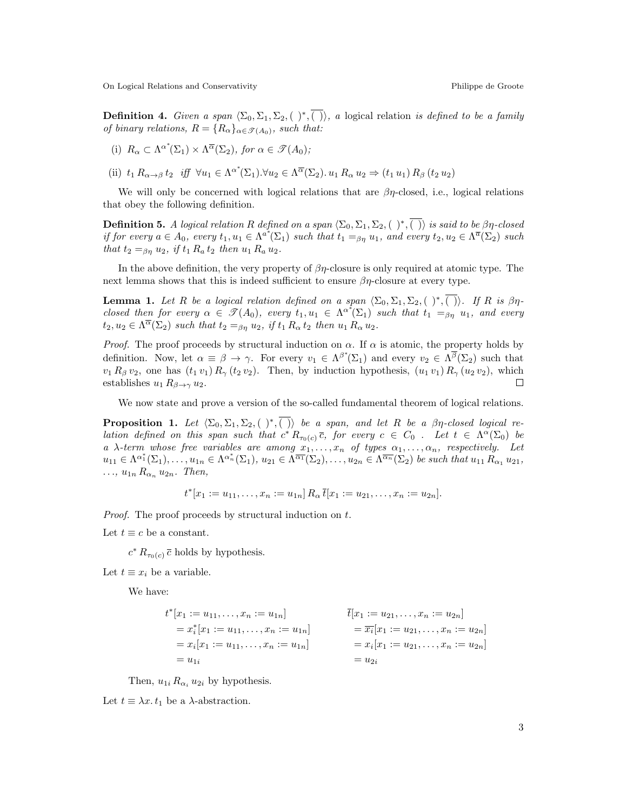**Definition 4.** Given a span  $\langle \Sigma_0, \Sigma_1, \Sigma_2, (\cdot), \overline{\langle \cdot \rangle} \rangle$ , a logical relation is defined to be a family of binary relations,  $R = \{R_{\alpha}\}_{{\alpha \in \mathcal{T}(A_0)}},$  such that:

(i) 
$$
R_{\alpha} \subset \Lambda^{\alpha^*}(\Sigma_1) \times \Lambda^{\overline{\alpha}}(\Sigma_2)
$$
, for  $\alpha \in \mathcal{T}(A_0)$ ;

(ii)  $t_1 R_{\alpha \to \beta} t_2$  iff  $\forall u_1 \in \Lambda^{\alpha^*}(\Sigma_1) . \forall u_2 \in \Lambda^{\overline{\alpha}}(\Sigma_2) . u_1 R_{\alpha} u_2 \Rightarrow (t_1 u_1) R_{\beta} (t_2 u_2)$ 

We will only be concerned with logical relations that are  $\beta\eta$ -closed, i.e., logical relations that obey the following definition.

**Definition 5.** A logical relation R defined on a span  $\langle\Sigma_0,\Sigma_1,\Sigma_2,$   $(\;\;)^*,\overline{(\;\;)}\rangle$  is said to be  $\beta\eta$ -closed if for every  $a \in A_0$ , every  $t_1, u_1 \in \Lambda^{a^*}(\Sigma_1)$  such that  $t_1 =_{\beta\eta} u_1$ , and every  $t_2, u_2 \in \Lambda^{\overline{a}}(\Sigma_2)$  such that  $t_2 =_{\beta n} u_2$ , if  $t_1 R_a t_2$  then  $u_1 R_a u_2$ .

In the above definition, the very property of  $\beta\eta$ -closure is only required at atomic type. The next lemma shows that this is indeed sufficient to ensure  $\beta\eta$ -closure at every type.

**Lemma 1.** Let R be a logical relation defined on a span  $\langle \Sigma_0, \Sigma_1, \Sigma_2, (\ \rangle^*, \overline{(\ })$ . If R is  $\beta\eta$ closed then for every  $\alpha \in \mathscr{T}(A_0)$ , every  $t_1, u_1 \in \Lambda^{\alpha^*}(\Sigma_1)$  such that  $t_1 =_{\beta\eta} u_1$ , and every  $t_2, u_2 \in \Lambda^{\overline{\alpha}}(\Sigma_2)$  such that  $t_2 =_{\beta\eta} u_2$ , if  $t_1 R_\alpha t_2$  then  $u_1 R_\alpha u_2$ .

*Proof.* The proof proceeds by structural induction on  $\alpha$ . If  $\alpha$  is atomic, the property holds by definition. Now, let  $\alpha \equiv \beta \to \gamma$ . For every  $v_1 \in \Lambda^{\beta^*}(\Sigma_1)$  and every  $v_2 \in \Lambda^{\overline{\beta}}(\Sigma_2)$  such that  $v_1 R_\beta v_2$ , one has  $(t_1 v_1) R_\gamma (t_2 v_2)$ . Then, by induction hypothesis,  $(u_1 v_1) R_\gamma (u_2 v_2)$ , which establishes  $u_1 R_{\beta \to \gamma} u_2$ . П

We now state and prove a version of the so-called fundamental theorem of logical relations.

**Proposition 1.** Let  $\langle \Sigma_0, \Sigma_1, \Sigma_2, (\rangle^*, \overline{()})$  be a span, and let R be a  $\beta\eta$ -closed logical relation defined on this span such that  $c^* R_{\tau_0(c)} \bar{c}$ , for every  $c \in C_0$ . Let  $t \in \Lambda^{\alpha}(\Sigma_0)$  be a  $\lambda$ -term whose free variables are among  $x_1, \ldots, x_n$  of types  $\alpha_1, \ldots, \alpha_n$ , respectively. Let  $u_{11} \in \Lambda^{\alpha_1^*}(\Sigma_1), \ldots, u_{1n} \in \Lambda^{\alpha_n^*}(\Sigma_1), u_{21} \in \Lambda^{\overline{\alpha_1}}(\Sigma_2), \ldots, u_{2n} \in \Lambda^{\overline{\alpha_n}}(\Sigma_2)$  be such that  $u_{11} R_{\alpha_1} u_{21}$ ,  $\ldots$ ,  $u_{1n} R_{\alpha_n} u_{2n}$ . Then,

$$
t^*[x_1 := u_{11}, \dots, x_n := u_{1n}] R_\alpha \overline{t}[x_1 := u_{21}, \dots, x_n := u_{2n}].
$$

Proof. The proof proceeds by structural induction on t.

Let  $t \equiv c$  be a constant.

 $c^* R_{\tau_0(c)} \bar{c}$  holds by hypothesis.

Let  $t \equiv x_i$  be a variable.

We have:

$$
t^*[x_1 := u_{11}, \dots, x_n := u_{1n}]
$$
  
\n
$$
= x_i^*[x_1 := u_{11}, \dots, x_n := u_{1n}]
$$
  
\n
$$
= x_i[x_1 := u_{11}, \dots, x_n := u_{1n}]
$$
  
\n
$$
= x_i[x_1 := u_{11}, \dots, x_n := u_{1n}]
$$
  
\n
$$
= u_{1i}
$$
  
\n
$$
= u_{2i}
$$
  
\n
$$
t[x_1 := u_{21}, \dots, x_n := u_{2n}]
$$
  
\n
$$
= x_i[x_1 := u_{21}, \dots, x_n := u_{2n}]
$$
  
\n
$$
= u_{2i}
$$

Then,  $u_{1i} R_{\alpha_i} u_{2i}$  by hypothesis.

Let  $t \equiv \lambda x \cdot t_1$  be a  $\lambda$ -abstraction.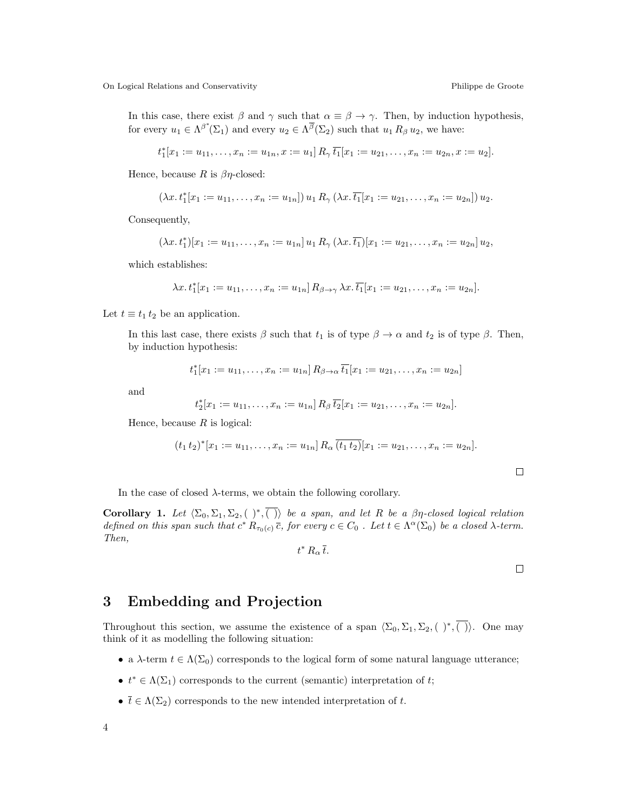In this case, there exist  $\beta$  and  $\gamma$  such that  $\alpha \equiv \beta \rightarrow \gamma$ . Then, by induction hypothesis, for every  $u_1 \in \Lambda^{\beta^*}(\Sigma_1)$  and every  $u_2 \in \Lambda^{\overline{\beta}}(\Sigma_2)$  such that  $u_1 R_\beta u_2$ , we have:

$$
t_1^*[x_1 := u_{11}, \ldots, x_n := u_{1n}, x := u_1] R_\gamma \overline{t_1}[x_1 := u_{21}, \ldots, x_n := u_{2n}, x := u_2].
$$

Hence, because R is  $\beta\eta$ -closed:

$$
(\lambda x. t_1^*[x_1 := u_{11}, \dots, x_n := u_{1n}]) u_1 R_\gamma (\lambda x. \overline{t_1}[x_1 := u_{21}, \dots, x_n := u_{2n}]) u_2.
$$

Consequently,

$$
(\lambda x. t_1^*)[x_1 := u_{11}, \dots, x_n := u_{1n}] u_1 R_\gamma (\lambda x. \overline{t_1})[x_1 := u_{21}, \dots, x_n := u_{2n}] u_2,
$$

which establishes:

$$
\lambda x. t_1^*[x_1 := u_{11}, \dots, x_n := u_{1n}] R_{\beta \to \gamma} \lambda x. \overline{t_1}[x_1 := u_{21}, \dots, x_n := u_{2n}].
$$

Let  $t \equiv t_1 t_2$  be an application.

In this last case, there exists  $\beta$  such that  $t_1$  is of type  $\beta \to \alpha$  and  $t_2$  is of type  $\beta$ . Then, by induction hypothesis:

$$
t_1^*[x_1 := u_{11}, \dots, x_n := u_{1n}] R_{\beta \to \alpha} \overline{t_1}[x_1 := u_{21}, \dots, x_n := u_{2n}]
$$

and

$$
t_2^*[x_1 := u_{11}, \ldots, x_n := u_{1n}] R_\beta \overline{t_2}[x_1 := u_{21}, \ldots, x_n := u_{2n}].
$$

Hence, because  $R$  is logical:

$$
(t_1 t_2)^*[x_1 := u_{11}, \dots, x_n := u_{1n}] R_\alpha \overline{(t_1 t_2)} [x_1 := u_{21}, \dots, x_n := u_{2n}].
$$

 $\Box$ 

In the case of closed  $\lambda$ -terms, we obtain the following corollary.

<span id="page-3-0"></span>**Corollary 1.** Let  $\langle \Sigma_0, \Sigma_1, \Sigma_2, (\cdot) \ast, \overline{(\cdot)} \rangle$  be a span, and let R be a  $\beta\eta$ -closed logical relation defined on this span such that  $c^* R_{\tau_0(c)} \overline{c}$ , for every  $c \in C_0$ . Let  $t \in \Lambda^{\alpha}(\Sigma_0)$  be a closed  $\lambda$ -term. Then,

$$
t^*\,R_\alpha\,\overline{t}.
$$

## 3 Embedding and Projection

Throughout this section, we assume the existence of a span  $\langle \Sigma_0, \Sigma_1, \Sigma_2, (\cdot)^\ast, \overline{(\cdot)} \rangle$ . One may think of it as modelling the following situation:

- a  $\lambda$ -term  $t \in \Lambda(\Sigma_0)$  corresponds to the logical form of some natural language utterance;
- $t^* \in \Lambda(\Sigma_1)$  corresponds to the current (semantic) interpretation of t;
- $\overline{t} \in \Lambda(\Sigma_2)$  corresponds to the new intended interpretation of t.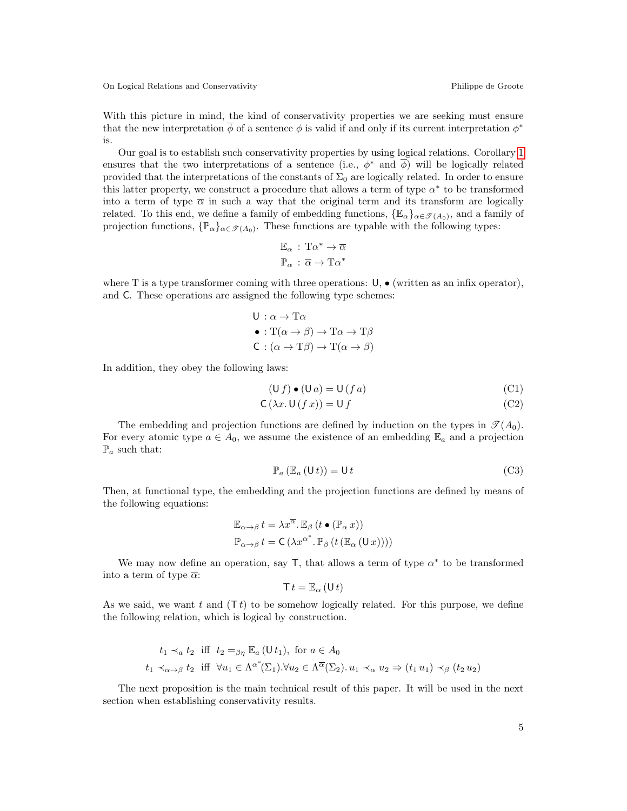With this picture in mind, the kind of conservativity properties we are seeking must ensure that the new interpretation  $\overline{\phi}$  of a sentence  $\phi$  is valid if and only if its current interpretation  $\phi^*$ is.

Our goal is to establish such conservativity properties by using logical relations. Corollary [1](#page-3-0) ensures that the two interpretations of a sentence (i.e.,  $\phi^*$  and  $\overline{\phi}$ ) will be logically related provided that the interpretations of the constants of  $\Sigma_0$  are logically related. In order to ensure this latter property, we construct a procedure that allows a term of type  $\alpha^*$  to be transformed into a term of type  $\bar{\alpha}$  in such a way that the original term and its transform are logically related. To this end, we define a family of embedding functions,  $\{\mathbb{E}_{\alpha}\}_{{\alpha \in \mathscr{T}(A_0)}},$  and a family of projection functions,  $\{\mathbb{P}_{\alpha}\}_{{\alpha \in \mathscr{T}(A_0)}}$ . These functions are typable with the following types:

$$
\begin{aligned} \mathbb{E}_\alpha\,:\, \mathrm{T}\alpha^*\rightarrow \overline{\alpha}\\ \mathbb{P}_\alpha\,:\, \overline{\alpha}\rightarrow \mathrm{T}\alpha^* \end{aligned}
$$

where T is a type transformer coming with three operations:  $\mathsf{U}, \bullet$  (written as an infix operator), and C. These operations are assigned the following type schemes:

$$
U : \alpha \to T\alpha
$$
  
\n•  $: T(\alpha \to \beta) \to T\alpha \to T\beta$   
\nC  $: (\alpha \to T\beta) \to T(\alpha \to \beta)$ 

In addition, they obey the following laws:

$$
(\mathsf{U}\,f)\bullet(\mathsf{U}\,a)=\mathsf{U}\,(f\,a)\tag{C1}
$$

$$
C(\lambda x. U(f x)) = U f \tag{C2}
$$

The embedding and projection functions are defined by induction on the types in  $\mathcal{T}(A_0)$ . For every atomic type  $a \in A_0$ , we assume the existence of an embedding  $\mathbb{E}_a$  and a projection  $\mathbb{P}_a$  such that:

$$
\mathbb{P}_{a}\left(\mathbb{E}_{a}\left(\mathsf{U}\,t\right)\right)=\mathsf{U}\,t\tag{C3}
$$

Then, at functional type, the embedding and the projection functions are defined by means of the following equations:

$$
\mathbb{E}_{\alpha \to \beta} t = \lambda x^{\overline{\alpha}} \cdot \mathbb{E}_{\beta} (t \bullet (\mathbb{P}_{\alpha} x))
$$

$$
\mathbb{P}_{\alpha \to \beta} t = C (\lambda x^{\alpha^*} \cdot \mathbb{P}_{\beta} (t (\mathbb{E}_{\alpha} (U x))))
$$

We may now define an operation, say  $\mathsf{T}$ , that allows a term of type  $\alpha^*$  to be transformed into a term of type  $\overline{\alpha}$ :

$$
\mathsf{T} t = \mathbb{E}_{\alpha} \left( \mathsf{U} t \right)
$$

As we said, we want t and  $(Tt)$  to be somehow logically related. For this purpose, we define the following relation, which is logical by construction.

$$
t_1 \prec_a t_2 \text{ iff } t_2 =_{\beta\eta} \mathbb{E}_a (U t_1), \text{ for } a \in A_0
$$
  

$$
t_1 \prec_{\alpha \to \beta} t_2 \text{ iff } \forall u_1 \in \Lambda^{\alpha^*}(\Sigma_1). \forall u_2 \in \Lambda^{\overline{\alpha}}(\Sigma_2). u_1 \prec_{\alpha} u_2 \Rightarrow (t_1 u_1) \prec_{\beta} (t_2 u_2)
$$

The next proposition is the main technical result of this paper. It will be used in the next section when establishing conservativity results.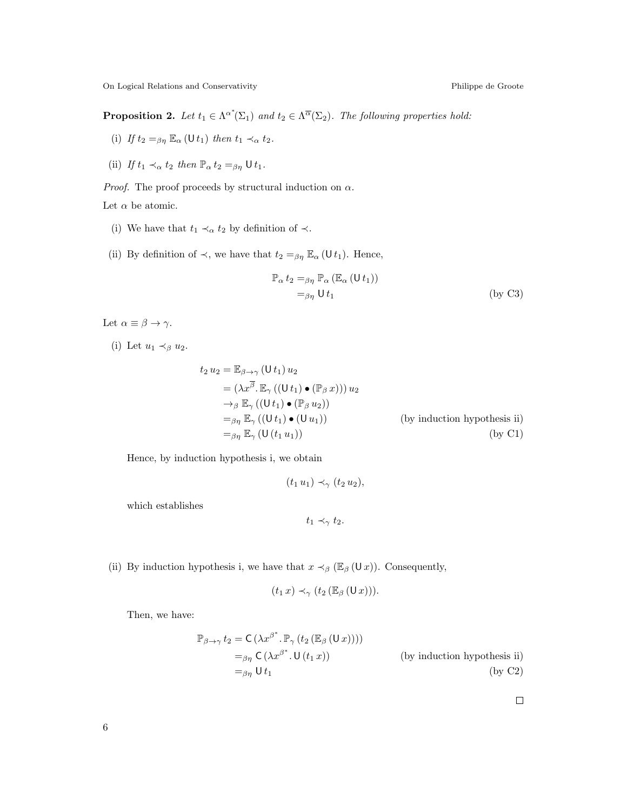<span id="page-5-0"></span>**Proposition 2.** Let  $t_1 \in \Lambda^{\alpha^*}(\Sigma_1)$  and  $t_2 \in \Lambda^{\overline{\alpha}}(\Sigma_2)$ . The following properties hold:

- (i) If  $t_2 =_{\beta\eta} \mathbb{E}_{\alpha}$  (U $t_1$ ) then  $t_1 \prec_{\alpha} t_2$ .
- (ii) If  $t_1 \prec_\alpha t_2$  then  $\mathbb{P}_\alpha t_2 =_{\beta\eta} \mathsf{U} t_1$ .

*Proof.* The proof proceeds by structural induction on  $\alpha$ .

Let  $\alpha$  be atomic.

- (i) We have that  $t_1 \prec_\alpha t_2$  by definition of  $\prec$ .
- (ii) By definition of  $\prec$ , we have that  $t_2 =_{\beta\eta} \mathbb{E}_{\alpha} (\mathsf{U} t_1)$ . Hence,

$$
\mathbb{P}_{\alpha} t_2 =_{\beta \eta} \mathbb{P}_{\alpha} (\mathbb{E}_{\alpha} (U t_1))
$$
  
=  $\beta \eta U t_1$  (by C3)

Let  $\alpha \equiv \beta \rightarrow \gamma$ .

(i) Let  $u_1 \prec_{\beta} u_2$ .

$$
t_2 u_2 = \mathbb{E}_{\beta \to \gamma} (U t_1) u_2
$$
  
\n
$$
= (\lambda x^{\overline{\beta}} \cdot \mathbb{E}_{\gamma} ((U t_1) \bullet (\mathbb{P}_{\beta} x))) u_2
$$
  
\n
$$
\to_{\beta} \mathbb{E}_{\gamma} ((U t_1) \bullet (\mathbb{P}_{\beta} u_2))
$$
  
\n
$$
=_{\beta \eta} \mathbb{E}_{\gamma} ((U t_1) \bullet (U u_1))
$$
 (by induction hypothesis ii)  
\n
$$
=_{\beta \eta} \mathbb{E}_{\gamma} (U (t_1 u_1))
$$
 (by C1)

Hence, by induction hypothesis i, we obtain

$$
(t_1 u_1) \prec_\gamma (t_2 u_2),
$$

which establishes

$$
t_1 \prec_\gamma t_2.
$$

(ii) By induction hypothesis i, we have that  $x \prec_{\beta} (\mathbb{E}_{\beta} (Ux))$ . Consequently,

$$
(t_1 x) \prec_\gamma (t_2 (\mathbb{E}_{\beta} (U x))).
$$

Then, we have:

$$
\mathbb{P}_{\beta \to \gamma} t_2 = \mathsf{C} \left( \lambda x^{\beta^*}. \mathbb{P}_{\gamma} \left( t_2 \left( \mathbb{E}_{\beta} \left( \mathsf{U} \, x \right) \right) \right) \right)
$$
\n
$$
=_{\beta \eta} \mathsf{C} \left( \lambda x^{\beta^*}. \mathsf{U} \left( t_1 \, x \right) \right) \qquad \text{(by induction hypothesis ii)}
$$
\n
$$
=_{\beta \eta} \mathsf{U} \, t_1 \qquad \text{(by C2)}
$$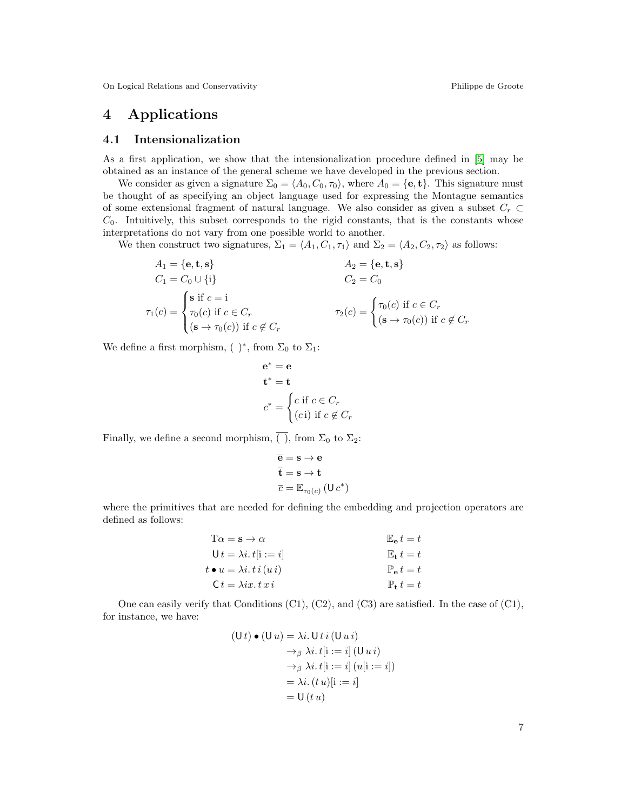# 4 Applications

#### 4.1 Intensionalization

As a first application, we show that the intensionalization procedure defined in [\[5\]](#page-9-0) may be obtained as an instance of the general scheme we have developed in the previous section.

We consider as given a signature  $\Sigma_0 = \langle A_0, C_0, \tau_0 \rangle$ , where  $A_0 = {\mathbf{e}, \mathbf{t}}$ . This signature must be thought of as specifying an object language used for expressing the Montague semantics of some extensional fragment of natural language. We also consider as given a subset  $C_r \subset$  $C_0$ . Intuitively, this subset corresponds to the rigid constants, that is the constants whose interpretations do not vary from one possible world to another.

We then construct two signatures,  $\Sigma_1 = \langle A_1, C_1, \tau_1 \rangle$  and  $\Sigma_2 = \langle A_2, C_2, \tau_2 \rangle$  as follows:

$$
A_1 = \{e, \mathbf{t}, \mathbf{s}\}
$$
  
\n
$$
C_1 = C_0 \cup \{i\}
$$
  
\n
$$
\tau_1(c) = \begin{cases} \n\mathbf{s} & \text{if } c = 1 \\ \n\tau_0(c) & \text{if } c \in C_r \\ \n(\mathbf{s} \to \tau_0(c)) & \text{if } c \notin C_r \n\end{cases}
$$
  
\n
$$
A_2 = \{e, \mathbf{t}, \mathbf{s}\}
$$
  
\n
$$
C_2 = C_0
$$
  
\n
$$
\tau_2(c) = \begin{cases} \n\tau_0(c) & \text{if } c \in C_r \\ \n(\mathbf{s} \to \tau_0(c)) & \text{if } c \notin C_r \n\end{cases}
$$

We define a first morphism,  $( )^*$ , from  $\Sigma_0$  to  $\Sigma_1$ :

$$
\mathbf{e}^* = \mathbf{e}
$$
  
\n
$$
\mathbf{t}^* = \mathbf{t}
$$
  
\n
$$
c^* = \begin{cases} c \text{ if } c \in C_r \\ (c \text{i}) \text{ if } c \notin C_r \end{cases}
$$

Finally, we define a second morphism,  $\overline{()}$ , from  $\Sigma_0$  to  $\Sigma_2$ :

$$
\begin{aligned}\n\overline{\mathbf{e}} &= \mathbf{s} \to \mathbf{e} \\
\overline{\mathbf{t}} &= \mathbf{s} \to \mathbf{t} \\
\overline{c} &= \mathbb{E}_{\tau_0(c)} \left( \mathsf{U} \, c^* \right)\n\end{aligned}
$$

where the primitives that are needed for defining the embedding and projection operators are defined as follows:

| $T\alpha = \mathbf{s} \rightarrow \alpha$          | $\mathbb{E}_{\mathbf{e}} t = t$ |
|----------------------------------------------------|---------------------------------|
| $U t = \lambda i \cdot t[i := i]$                  | $\mathbb{E}_{\mathbf{t}} t = t$ |
| $t \bullet u = \lambda i \cdot t \, i \, (u \, i)$ | $\mathbb{P}_{\alpha} t = t$     |
| $C t = \lambda i x. t x i$                         | $\mathbb{P}_{\mathbf{t}} t = t$ |

One can easily verify that Conditions  $(C1)$ ,  $(C2)$ , and  $(C3)$  are satisfied. In the case of  $(C1)$ , for instance, we have:

$$
(\mathsf{U} \, t) \bullet (\mathsf{U} \, u) = \lambda i. \, \mathsf{U} \, t \, i \, (\mathsf{U} \, u \, i)
$$
\n
$$
\rightarrow_{\beta} \lambda i. \, t[i := i] \, (\mathsf{U} \, u \, i)
$$
\n
$$
\rightarrow_{\beta} \lambda i. \, t[i := i] \, (u[i := i])
$$
\n
$$
= \lambda i. \, (t \, u)[i := i]
$$
\n
$$
= \mathsf{U} \, (t \, u)
$$

7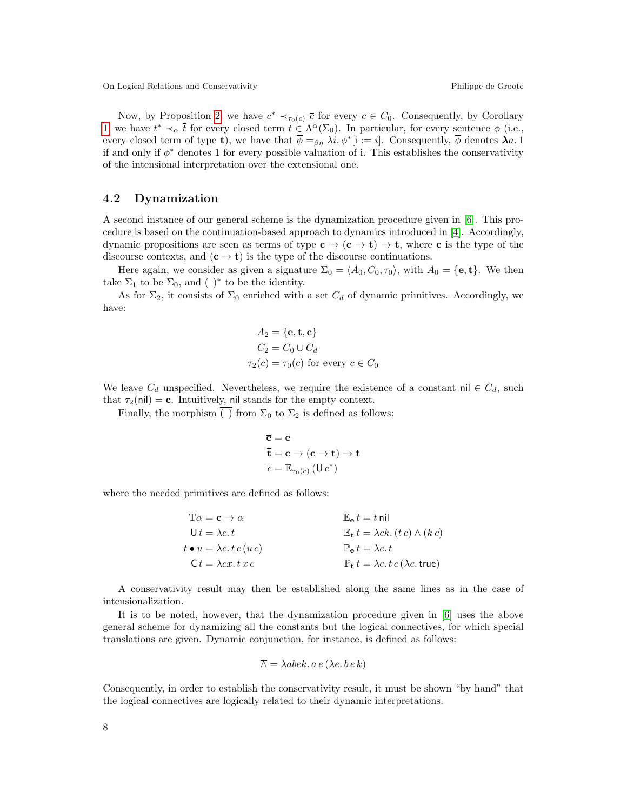Now, by Proposition [2,](#page-5-0) we have  $c^* \prec_{\tau_0(c)} \overline{c}$  for every  $c \in C_0$ . Consequently, by Corollary [1,](#page-3-0) we have  $t^* \prec_\alpha \overline{t}$  for every closed term  $t \in \Lambda^\alpha(\Sigma_0)$ . In particular, for every sentence  $\phi$  (i.e., every closed term of type **t**), we have that  $\overline{\phi} =_{\beta\eta} \lambda i. \phi^*[\mathbf{i} := i]$ . Consequently,  $\overline{\phi}$  denotes  $\lambda a. 1$ if and only if  $\phi^*$  denotes 1 for every possible valuation of i. This establishes the conservativity of the intensional interpretation over the extensional one.

#### 4.2 Dynamization

A second instance of our general scheme is the dynamization procedure given in [\[6\]](#page-9-1). This procedure is based on the continuation-based approach to dynamics introduced in [\[4\]](#page-9-3). Accordingly, dynamic propositions are seen as terms of type  $c \to (c \to t) \to t$ , where c is the type of the discourse contexts, and  $(c \to t)$  is the type of the discourse continuations.

Here again, we consider as given a signature  $\Sigma_0 = \langle A_0, C_0, \tau_0 \rangle$ , with  $A_0 = \{e, t\}$ . We then take  $\Sigma_1$  to be  $\Sigma_0$ , and ( )<sup>\*</sup> to be the identity.

As for  $\Sigma_2$ , it consists of  $\Sigma_0$  enriched with a set  $C_d$  of dynamic primitives. Accordingly, we have:

$$
A_2 = \{e, t, c\}
$$
  
\n
$$
C_2 = C_0 \cup C_d
$$
  
\n
$$
\tau_2(c) = \tau_0(c) \text{ for every } c \in C_0
$$

We leave  $C_d$  unspecified. Nevertheless, we require the existence of a constant nil  $\in C_d$ , such that  $\tau_2(\text{nil}) = \text{c}$ . Intuitively, nil stands for the empty context.

Finally, the morphism ( ) from  $\Sigma_0$  to  $\Sigma_2$  is defined as follows:

$$
\begin{aligned} & \overline{\mathbf{e}} = \mathbf{e} \\ & \overline{\mathbf{t}} = \mathbf{c} \rightarrow (\mathbf{c} \rightarrow \mathbf{t}) \rightarrow \mathbf{t} \\ & \overline{c} = \mathbb{E}_{\tau_0(c)} \left( \mathsf{U} \, c^* \right) \end{aligned}
$$

where the needed primitives are defined as follows:

| $T\alpha = \mathbf{c} \to \alpha$                    | $\mathbb{E}_{\mathbf{e}} t = t$ nil                                               |
|------------------------------------------------------|-----------------------------------------------------------------------------------|
| $Ut = \lambda c, t$                                  | $\mathbb{E}_{\mathbf{t}} t = \lambda ck. (t c) \wedge (k c)$                      |
| $t \bullet u = \lambda c \cdot t \cdot c(u \cdot c)$ | $\mathbb{P}_{\mathbf{e}}t = \lambda c \cdot t$                                    |
| $C t = \lambda c x. t x c$                           | $\mathbb{P}_{\mathbf{t}} t = \lambda c \cdot t c (\lambda c \cdot \mathbf{true})$ |

A conservativity result may then be established along the same lines as in the case of intensionalization.

It is to be noted, however, that the dynamization procedure given in [\[6\]](#page-9-1) uses the above general scheme for dynamizing all the constants but the logical connectives, for which special translations are given. Dynamic conjunction, for instance, is defined as follows:

$$
\overline{\wedge} = \lambda abek. \, a \, e \, (\lambda e. \, b \, e \, k)
$$

Consequently, in order to establish the conservativity result, it must be shown "by hand" that the logical connectives are logically related to their dynamic interpretations.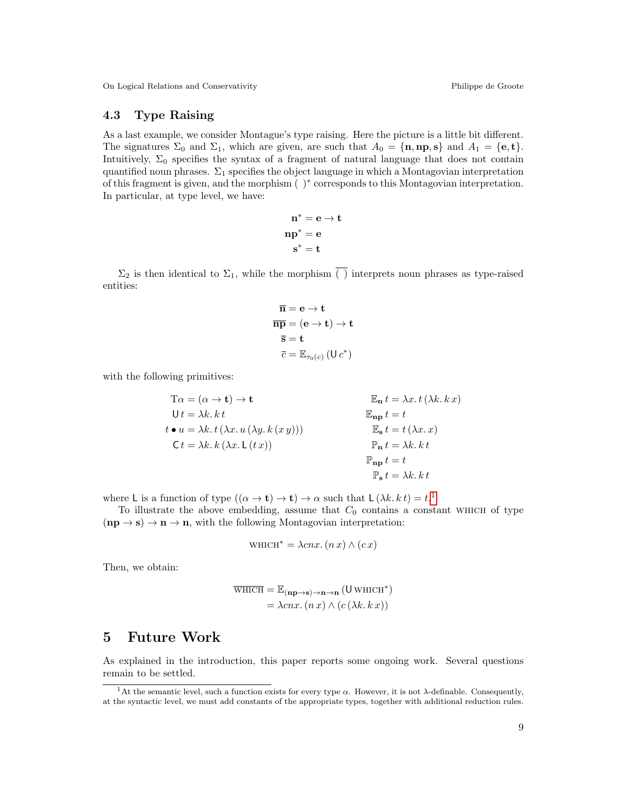#### 4.3 Type Raising

As a last example, we consider Montague's type raising. Here the picture is a little bit different. The signatures  $\Sigma_0$  and  $\Sigma_1$ , which are given, are such that  $A_0 = \{\mathbf{n}, \mathbf{np}, \mathbf{s}\}\$  and  $A_1 = \{\mathbf{e}, \mathbf{t}\}.$ Intuitively,  $\Sigma_0$  specifies the syntax of a fragment of natural language that does not contain quantified noun phrases.  $\Sigma_1$  specifies the object language in which a Montagovian interpretation of this fragment is given, and the morphism ( )<sup>∗</sup> corresponds to this Montagovian interpretation. In particular, at type level, we have:

$$
\begin{aligned} \mathbf{n}^* &= \mathbf{e} \to \mathbf{t} \\ \mathbf{n} \mathbf{p}^* &= \mathbf{e} \\ \mathbf{s}^* &= \mathbf{t} \end{aligned}
$$

 $\Sigma_2$  is then identical to  $\Sigma_1$ , while the morphism  $\overline{()}$  interprets noun phrases as type-raised entities:

$$
\overline{\mathbf{n}} = \mathbf{e} \to \mathbf{t}
$$

$$
\overline{\mathbf{n}\mathbf{p}} = (\mathbf{e} \to \mathbf{t}) \to \mathbf{t}
$$

$$
\overline{\mathbf{s}} = \mathbf{t}
$$

$$
\overline{c} = \mathbb{E}_{\tau_0(c)} (\mathbf{U} c^*)
$$

with the following primitives:

$$
T\alpha = (\alpha \to t) \to t
$$
  
\n
$$
Ut = \lambda k. k t
$$
  
\n
$$
t \bullet u = \lambda k. t (\lambda x. u (\lambda y. k (x y)))
$$
  
\n
$$
Ct = \lambda k. k (\lambda x. L (t x))
$$
  
\n
$$
E_{\mathbf{n}} t = \lambda x. t (\lambda k. k x)
$$
  
\n
$$
E_{\mathbf{n}} t = t
$$
  
\n
$$
E_{\mathbf{n}} t = t
$$
  
\n
$$
E_{\mathbf{n}} t = t (\lambda x. x)
$$
  
\n
$$
F_{\mathbf{n}} t = \lambda k. k t
$$
  
\n
$$
F_{\mathbf{n}} t = t
$$
  
\n
$$
F_{\mathbf{s}} t = \lambda k. k t
$$

where L is a function of type  $((\alpha \to t) \to t) \to \alpha$  such that  $L(\lambda k. k t) = t$ <sup>[1](#page-8-0)</sup>

To illustrate the above embedding, assume that  $C_0$  contains a constant which of type  $(np \rightarrow s) \rightarrow n \rightarrow n$ , with the following Montagovian interpretation:

$$
WHICH^* = \lambda cnx. (n x) \wedge (cx)
$$

Then, we obtain:

$$
\overline{\text{WHICH}} = \mathbb{E}_{(\mathbf{np}\to\mathbf{s})\to\mathbf{n}\to\mathbf{n}} (\mathbf{U}\,\text{WHICH}^*)
$$

$$
= \lambda cnx. (n\,x) \land (c(\lambda k. k\,x))
$$

### 5 Future Work

As explained in the introduction, this paper reports some ongoing work. Several questions remain to be settled.

<span id="page-8-0"></span><sup>&</sup>lt;sup>1</sup>At the semantic level, such a function exists for every type  $\alpha$ . However, it is not  $\lambda$ -definable. Consequently, at the syntactic level, we must add constants of the appropriate types, together with additional reduction rules.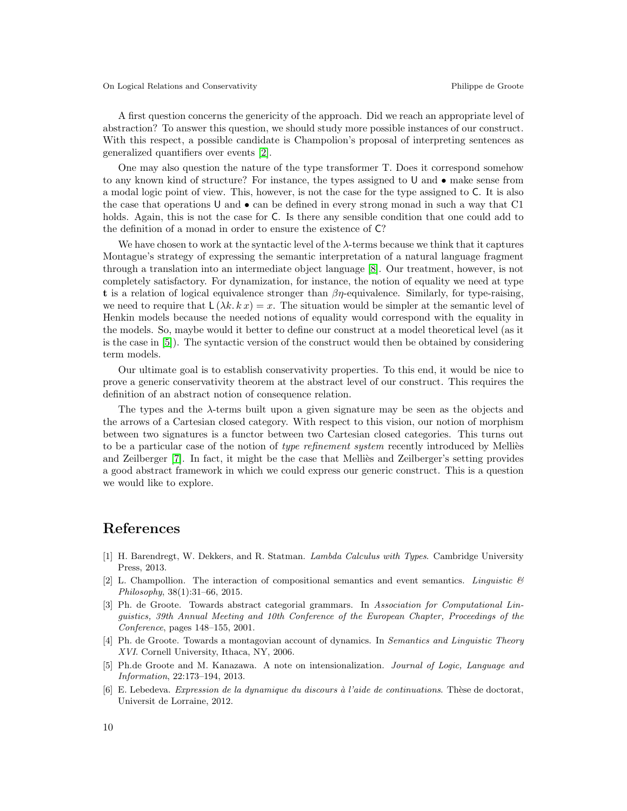A first question concerns the genericity of the approach. Did we reach an appropriate level of abstraction? To answer this question, we should study more possible instances of our construct. With this respect, a possible candidate is Champolion's proposal of interpreting sentences as generalized quantifiers over events [\[2\]](#page-9-4).

One may also question the nature of the type transformer T. Does it correspond somehow to any known kind of structure? For instance, the types assigned to U and • make sense from a modal logic point of view. This, however, is not the case for the type assigned to C. It is also the case that operations U and  $\bullet$  can be defined in every strong monad in such a way that C1 holds. Again, this is not the case for C. Is there any sensible condition that one could add to the definition of a monad in order to ensure the existence of C?

We have chosen to work at the syntactic level of the  $\lambda$ -terms because we think that it captures Montague's strategy of expressing the semantic interpretation of a natural language fragment through a translation into an intermediate object language [\[8\]](#page-10-0). Our treatment, however, is not completely satisfactory. For dynamization, for instance, the notion of equality we need at type t is a relation of logical equivalence stronger than  $\beta\eta$ -equivalence. Similarly, for type-raising, we need to require that  $L(\lambda k, k x) = x$ . The situation would be simpler at the semantic level of Henkin models because the needed notions of equality would correspond with the equality in the models. So, maybe would it better to define our construct at a model theoretical level (as it is the case in [\[5\]](#page-9-0)). The syntactic version of the construct would then be obtained by considering term models.

Our ultimate goal is to establish conservativity properties. To this end, it would be nice to prove a generic conservativity theorem at the abstract level of our construct. This requires the definition of an abstract notion of consequence relation.

The types and the  $\lambda$ -terms built upon a given signature may be seen as the objects and the arrows of a Cartesian closed category. With respect to this vision, our notion of morphism between two signatures is a functor between two Cartesian closed categories. This turns out to be a particular case of the notion of type refinement system recently introduced by Melliès and Zeilberger [\[7\]](#page-10-1). In fact, it might be the case that Mellies and Zeilberger's setting provides a good abstract framework in which we could express our generic construct. This is a question we would like to explore.

## References

- <span id="page-9-2"></span>[1] H. Barendregt, W. Dekkers, and R. Statman. Lambda Calculus with Types. Cambridge University Press, 2013.
- <span id="page-9-4"></span>[2] L. Champollion. The interaction of compositional semantics and event semantics. Linguistic  $\mathcal{B}$ Philosophy, 38(1):31–66, 2015.
- [3] Ph. de Groote. Towards abstract categorial grammars. In Association for Computational Linguistics, 39th Annual Meeting and 10th Conference of the European Chapter, Proceedings of the Conference, pages 148–155, 2001.
- <span id="page-9-3"></span>[4] Ph. de Groote. Towards a montagovian account of dynamics. In Semantics and Linguistic Theory XVI. Cornell University, Ithaca, NY, 2006.
- <span id="page-9-0"></span>[5] Ph.de Groote and M. Kanazawa. A note on intensionalization. Journal of Logic, Language and Information, 22:173–194, 2013.
- <span id="page-9-1"></span>[6] E. Lebedeva. Expression de la dynamique du discours à l'aide de continuations. Thèse de doctorat, Universit de Lorraine, 2012.